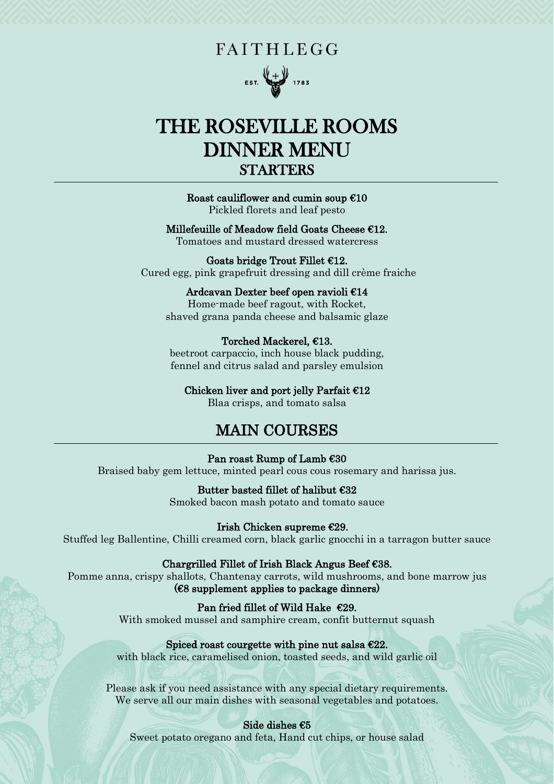# **FAITHLEGG**



# THE ROSEVILLE ROOMS DINNER MENU STARTERS

#### ֺ֘֒ Roast cauliflower and cumin soup  $E10$

Pickled florets and leaf pesto

# Millefeuille of Meadow field Goats Cheese €12.

Tomatoes and mustard dressed watercress

#### Goats bridge Trout Fillet  $E12$ . Cured egg, pink grapefruit dressing and dill crème fraiche

#### Ardcavan Dexter beef open ravioli €14

Home-made beef ragout, with Rocket, shaved grana panda cheese and balsamic glaze

# Torched Mackerel, €13.

beetroot carpaccio, inch house black pudding, fennel and citrus salad and parsley emulsion

#### Chicken liver and port jelly Parfait €12

Blaa crisps, and tomato salsa

# MAIN COURSES

#### Ī Pan roast Rump of Lamb €30

Braised baby gem lettuce, minted pearl cous cous rosemary and harissa jus.

# Butter basted fillet of halibut €32

Smoked bacon mash potato and tomato sauce

#### Irish Chicken supreme €29.

Stuffed leg Ballentine, Chilli creamed corn, black garlic gnocchi in a tarragon butter sauce

# Chargrilled Fillet of Irish Black Angus Beef €38.

Pomme anna, crispy shallots, Chantenay carrots, wild mushrooms, and bone marrow jus  $(68$  supplement applies to package dinners)

Pan fried fillet of Wild Hake  $\epsilon$ 29.

With smoked mussel and samphire cream, confit butternut squash

# Spiced roast courgette with pine nut salsa  $E22$ .

with black rice, caramelised onion, toasted seeds, and wild garlic oil

Please ask if you need assistance with any special dietary requirements. We serve all our main dishes with seasonal vegetables and potatoes.

# Side dishes €5

Sweet potato oregano and feta, Hand cut chips, or house salad